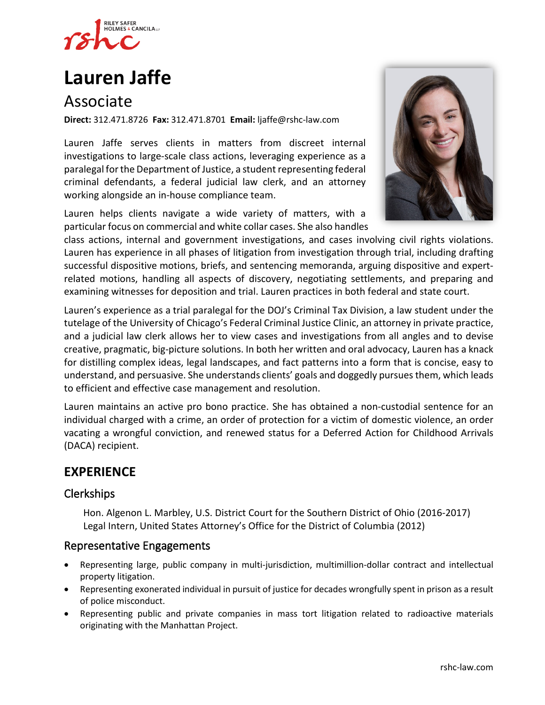

# **[Lauren Jaffe](https://www.rshc-law.com/attorneys/attorney/lauren-jaffe)**

# Associate

**Direct:** 312.471.8726 **Fax:** 312.471.8701 **Email:** ljaffe@rshc-law.com

Lauren Jaffe serves clients in matters from discreet internal investigations to large-scale class actions, leveraging experience as a paralegal for the Department of Justice, a student representing federal criminal defendants, a federal judicial law clerk, and an attorney working alongside an in-house compliance team.

Lauren helps clients navigate a wide variety of matters, with a particular focus on commercial and white collar cases. She also handles



class actions, internal and government investigations, and cases involving civil rights violations. Lauren has experience in all phases of litigation from investigation through trial, including drafting successful dispositive motions, briefs, and sentencing memoranda, arguing dispositive and expertrelated motions, handling all aspects of discovery, negotiating settlements, and preparing and examining witnesses for deposition and trial. Lauren practices in both federal and state court.

Lauren's experience as a trial paralegal for the DOJ's Criminal Tax Division, a law student under the tutelage of the University of Chicago's Federal Criminal Justice Clinic, an attorney in private practice, and a judicial law clerk allows her to view cases and investigations from all angles and to devise creative, pragmatic, big-picture solutions. In both her written and oral advocacy, Lauren has a knack for distilling complex ideas, legal landscapes, and fact patterns into a form that is concise, easy to understand, and persuasive. She understands clients' goals and doggedly pursues them, which leads to efficient and effective case management and resolution.

Lauren maintains an active pro bono practice. She has obtained a non-custodial sentence for an individual charged with a crime, an order of protection for a victim of domestic violence, an order vacating a wrongful conviction, and renewed status for a Deferred Action for Childhood Arrivals (DACA) recipient.

# **EXPERIENCE**

#### Clerkships

Hon. Algenon L. Marbley, U.S. District Court for the Southern District of Ohio (2016-2017) Legal Intern, United States Attorney's Office for the District of Columbia (2012)

#### Representative Engagements

- Representing large, public company in multi-jurisdiction, multimillion-dollar contract and intellectual property litigation.
- Representing exonerated individual in pursuit of justice for decades wrongfully spent in prison as a result of police misconduct.
- Representing public and private companies in mass tort litigation related to radioactive materials originating with the Manhattan Project.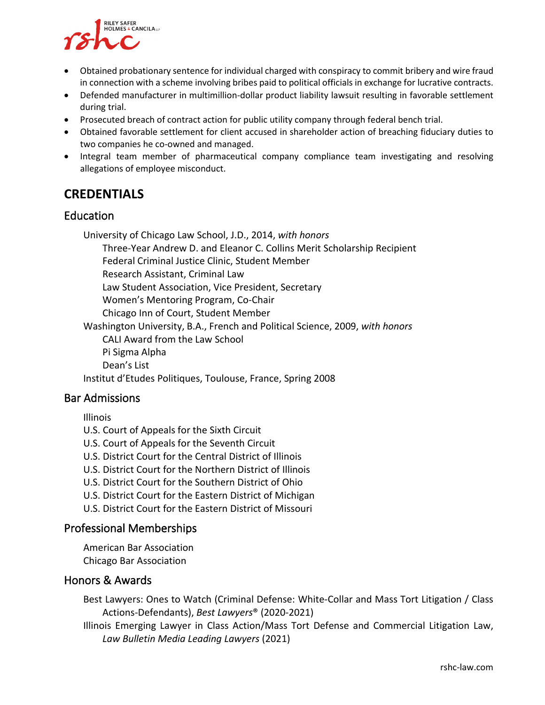

- Obtained probationary sentence for individual charged with conspiracy to commit bribery and wire fraud in connection with a scheme involving bribes paid to political officials in exchange for lucrative contracts.
- Defended manufacturer in multimillion-dollar product liability lawsuit resulting in favorable settlement during trial.
- Prosecuted breach of contract action for public utility company through federal bench trial.
- Obtained favorable settlement for client accused in shareholder action of breaching fiduciary duties to two companies he co-owned and managed.
- Integral team member of pharmaceutical company compliance team investigating and resolving allegations of employee misconduct.

# **CREDENTIALS**

#### Education

University of Chicago Law School, J.D., 2014, *with honors*

Three-Year Andrew D. and Eleanor C. Collins Merit Scholarship Recipient

Federal Criminal Justice Clinic, Student Member

Research Assistant, Criminal Law

Law Student Association, Vice President, Secretary

Women's Mentoring Program, Co-Chair

Chicago Inn of Court, Student Member

Washington University, B.A., French and Political Science, 2009, *with honors* CALI Award from the Law School Pi Sigma Alpha Dean's List Institut d'Etudes Politiques, Toulouse, France, Spring 2008

#### Bar Admissions

Illinois

U.S. Court of Appeals for the Sixth Circuit

- U.S. Court of Appeals for the Seventh Circuit
- U.S. District Court for the Central District of Illinois
- U.S. District Court for the Northern District of Illinois
- U.S. District Court for the Southern District of Ohio
- U.S. District Court for the Eastern District of Michigan
- U.S. District Court for the Eastern District of Missouri

#### Professional Memberships

American Bar Association Chicago Bar Association

#### Honors & Awards

Best Lawyers: Ones to Watch (Criminal Defense: White-Collar and Mass Tort Litigation / Class Actions-Defendants), *Best Lawyers*® (2020-2021)

Illinois Emerging Lawyer in Class Action/Mass Tort Defense and Commercial Litigation Law, *Law Bulletin Media Leading Lawyers* (2021)